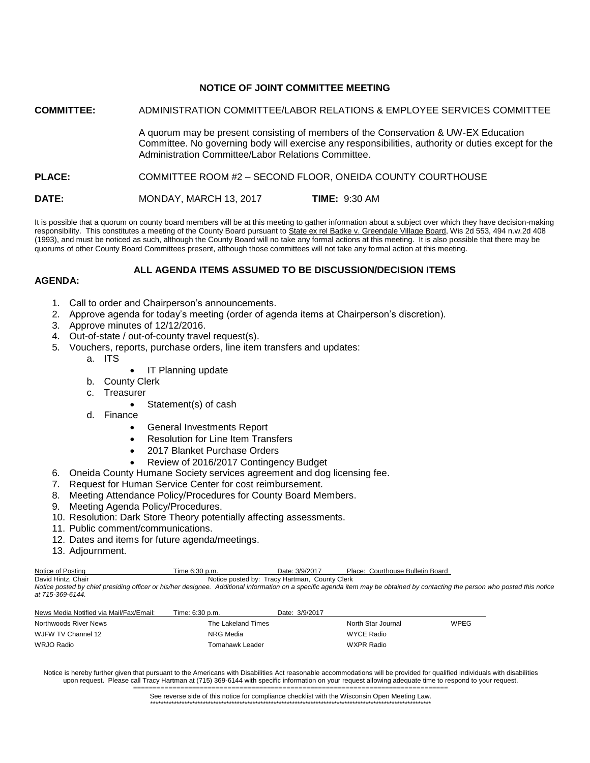# **NOTICE OF JOINT COMMITTEE MEETING**

**COMMITTEE:** ADMINISTRATION COMMITTEE/LABOR RELATIONS & EMPLOYEE SERVICES COMMITTEE

A quorum may be present consisting of members of the Conservation & UW-EX Education Committee. No governing body will exercise any responsibilities, authority or duties except for the Administration Committee/Labor Relations Committee.

# **PLACE:** COMMITTEE ROOM #2 – SECOND FLOOR, ONEIDA COUNTY COURTHOUSE

**DATE:** MONDAY, MARCH 13, 2017 **TIME:** 9:30 AM

It is possible that a quorum on county board members will be at this meeting to gather information about a subject over which they have decision-making responsibility. This constitutes a meeting of the County Board pursuant to State ex rel Badke v. Greendale Village Board, Wis 2d 553, 494 n.w.2d 408 (1993), and must be noticed as such, although the County Board will no take any formal actions at this meeting. It is also possible that there may be quorums of other County Board Committees present, although those committees will not take any formal action at this meeting.

# **ALL AGENDA ITEMS ASSUMED TO BE DISCUSSION/DECISION ITEMS**

# **AGENDA:**

- 1. Call to order and Chairperson's announcements.
- 2. Approve agenda for today's meeting (order of agenda items at Chairperson's discretion).
- 3. Approve minutes of 12/12/2016.
- 4. Out-of-state / out-of-county travel request(s).
- 5. Vouchers, reports, purchase orders, line item transfers and updates:
	- a. ITS
- IT Planning update
- b. County Clerk
- c. Treasurer
	- Statement(s) of cash
- d. Finance
	- General Investments Report
	- Resolution for Line Item Transfers
	- 2017 Blanket Purchase Orders
	- Review of 2016/2017 Contingency Budget
- 6. Oneida County Humane Society services agreement and dog licensing fee.
- 7. Request for Human Service Center for cost reimbursement.
- 8. Meeting Attendance Policy/Procedures for County Board Members.
- 9. Meeting Agenda Policy/Procedures.
- 10. Resolution: Dark Store Theory potentially affecting assessments.
- 11. Public comment/communications.
- 12. Dates and items for future agenda/meetings.
- 13. Adjournment.

| Notice of Posting  | Time 6:30 p.m.                                                                                                                                     | Date: 3/9/2017                                | Place: Courthouse Bulletin Board |
|--------------------|----------------------------------------------------------------------------------------------------------------------------------------------------|-----------------------------------------------|----------------------------------|
| David Hintz, Chair |                                                                                                                                                    | Notice posted by: Tracy Hartman. County Clerk |                                  |
|                    | Notice posted by chief presiding officer or his/her designee. Additional information on a specific agenda item may be obtained by contacting the p |                                               |                                  |

*Notice posted by chief presiding officer or his/her designee. Additional information on a specific agenda item may be obtained by contacting the person who posted this notice at 715-369-6144.*

| News Media Notified via Mail/Fax/Email: | Time: 6:30 p.m.    | Date: 3/9/2017     |      |
|-----------------------------------------|--------------------|--------------------|------|
| Northwoods River News                   | The Lakeland Times | North Star Journal | WPEG |
| WJFW TV Channel 12                      | NRG Media          | WYCE Radio         |      |
| WRJO Radio                              | Tomahawk Leader    | WXPR Radio         |      |

Notice is hereby further given that pursuant to the Americans with Disabilities Act reasonable accommodations will be provided for qualified individuals with disabilities upon request. Please call Tracy Hartman at (715) 369-6144 with specific information on your request allowing adequate time to respond to your request.

> ================================================================================ See reverse side of this notice for compliance checklist with the Wisconsin Open Meeting Law. \*\*\*\*\*\*\*\*\*\*\*\*\*\*\*\*\*\*\*\*\*\*\*\*\*\*\*\*\*\*\*\*\*\*\*\*\*\*\*\*\*\*\*\*\*\*\*\*\*\*\*\*\*\*\*\*\*\*\*\*\*\*\*\*\*\*\*\*\*\*\*\*\*\*\*\*\*\*\*\*\*\*\*\*\*\*\*\*\*\*\*\*\*\*\*\*\*\*\*\*\*\*\*\*\*\*\*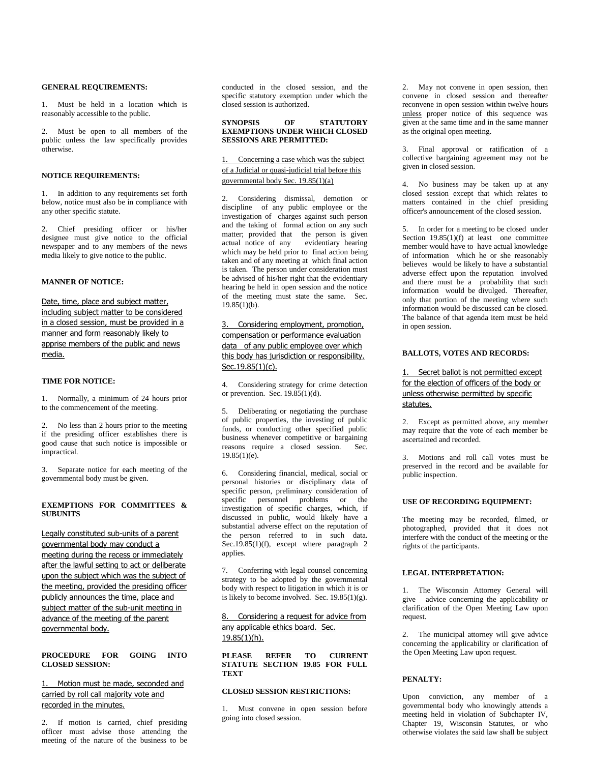#### **GENERAL REQUIREMENTS:**

1. Must be held in a location which is reasonably accessible to the public.

2. Must be open to all members of the public unless the law specifically provides otherwise.

#### **NOTICE REQUIREMENTS:**

1. In addition to any requirements set forth below, notice must also be in compliance with any other specific statute.

2. Chief presiding officer or his/her designee must give notice to the official newspaper and to any members of the news media likely to give notice to the public.

## **MANNER OF NOTICE:**

Date, time, place and subject matter, including subject matter to be considered in a closed session, must be provided in a manner and form reasonably likely to apprise members of the public and news media.

#### **TIME FOR NOTICE:**

1. Normally, a minimum of 24 hours prior to the commencement of the meeting.

2. No less than 2 hours prior to the meeting if the presiding officer establishes there is good cause that such notice is impossible or impractical.

3. Separate notice for each meeting of the governmental body must be given.

#### **EXEMPTIONS FOR COMMITTEES & SUBUNITS**

Legally constituted sub-units of a parent governmental body may conduct a meeting during the recess or immediately after the lawful setting to act or deliberate upon the subject which was the subject of the meeting, provided the presiding officer publicly announces the time, place and subject matter of the sub-unit meeting in advance of the meeting of the parent governmental body.

#### **PROCEDURE FOR GOING INTO CLOSED SESSION:**

## 1. Motion must be made, seconded and carried by roll call majority vote and recorded in the minutes.

2. If motion is carried, chief presiding officer must advise those attending the meeting of the nature of the business to be conducted in the closed session, and the specific statutory exemption under which the closed session is authorized.

#### **SYNOPSIS OF STATUTORY EXEMPTIONS UNDER WHICH CLOSED SESSIONS ARE PERMITTED:**

## 1. Concerning a case which was the subject of a Judicial or quasi-judicial trial before this governmental body Sec. 19.85(1)(a)

2. Considering dismissal, demotion or discipline of any public employee or the investigation of charges against such person and the taking of formal action on any such matter; provided that the person is given actual notice of any evidentiary hearing which may be held prior to final action being taken and of any meeting atwhich final action is taken. The person under consideration must be advised of his/her right that the evidentiary hearing be held in open session and the notice of the meeting must state the same. Sec. 19.85(1)(b).

## 3. Considering employment, promotion, compensation or performance evaluation data of any public employee over which this body has jurisdiction or responsibility. Sec.19.85(1)(c).

4. Considering strategy for crime detection or prevention. Sec. 19.85(1)(d).

5. Deliberating or negotiating the purchase of public properties, the investing of public funds, or conducting other specified public business whenever competitive or bargaining reasons require a closed session. Sec.  $19.85(1)(e)$ .

6. Considering financial, medical, social or personal histories or disciplinary data of specific person, preliminary consideration of specific personnel problems or the investigation of specific charges, which, if discussed in public, would likely have a substantial adverse effect on the reputation of the person referred to in such data. Sec.19.85(1)(f), except where paragraph 2 applies.

7. Conferring with legal counsel concerning strategy to be adopted by the governmental body with respect to litigation in which it is or is likely to become involved. Sec.  $19.85(1)(g)$ .

## 8. Considering a request for advice from any applicable ethics board. Sec. 19.85(1)(h).

**PLEASE REFER TO CURRENT STATUTE SECTION 19.85 FOR FULL TEXT**

## **CLOSED SESSION RESTRICTIONS:**

1. Must convene in open session before going into closed session.

2. May not convene in open session, then convene in closed session and thereafter reconvene in open session within twelve hours unless proper notice of this sequence was given at the same time and in the same manner as the original open meeting.

3. Final approval or ratification of a collective bargaining agreement may not be given in closed session.

4. No business may be taken up at any closed session except that which relates to matters contained in the chief presiding officer's announcement of the closed session.

5. In order for a meeting to be closed under Section  $19.85(1)(f)$  at least one committee member would have to have actual knowledge of information which he or she reasonably believes would be likely to have a substantial adverse effect upon the reputation involved and there must be a probability that such information would be divulged. Thereafter, only that portion of the meeting where such information would be discussed can be closed. The balance of that agenda item must be held in open session.

#### **BALLOTS, VOTES AND RECORDS:**

## 1. Secret ballot is not permitted except for the election of officers of the body or unless otherwise permitted by specific statutes.

2. Except as permitted above, any member may require that the vote of each member be ascertained and recorded.

3. Motions and roll call votes must be preserved in the record and be available for public inspection.

#### **USE OF RECORDING EQUIPMENT:**

The meeting may be recorded, filmed, or photographed, provided that it does not interfere with the conduct of the meeting or the rights of the participants.

#### **LEGAL INTERPRETATION:**

1. The Wisconsin Attorney General will give advice concerning the applicability or clarification of the Open Meeting Law upon request.

2. The municipal attorney will give advice concerning the applicability or clarification of the Open Meeting Law upon request.

#### **PENALTY:**

Upon conviction, any member of a governmental body who knowingly attends a meeting held in violation of Subchapter IV, Chapter 19, Wisconsin Statutes, or who otherwise violates the said law shall be subject